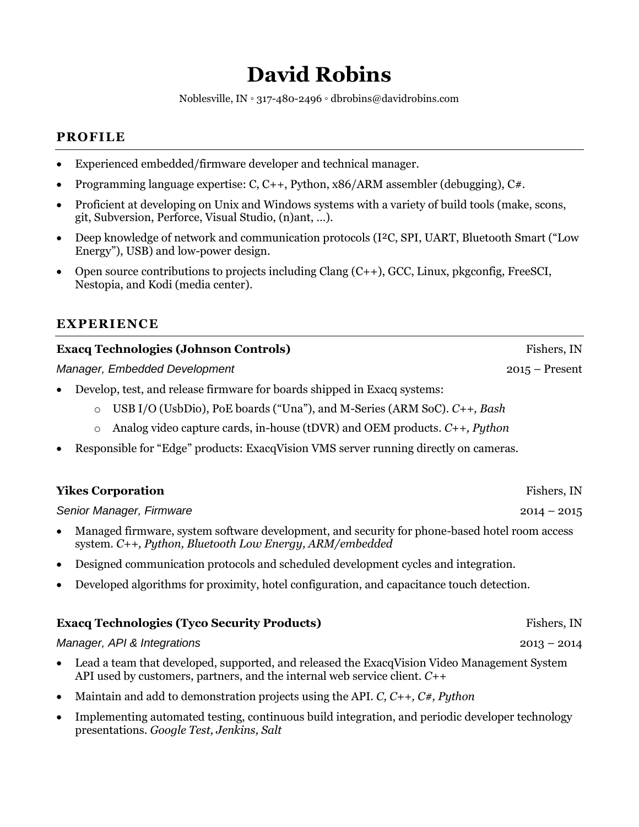# **David Robins**

Noblesville, IN **◦** 317-480-2496 **◦** dbrobins@davidrobins.com

## **PROFILE**

- Experienced embedded/firmware developer and technical manager.
- Programming language expertise: C, C++, Python, x86/ARM assembler (debugging), C#.
- Proficient at developing on Unix and Windows systems with a variety of build tools (make, scons, git, Subversion, Perforce, Visual Studio, (n)ant, …).
- Deep knowledge of network and communication protocols (I²C, SPI, UART, Bluetooth Smart ("Low Energy"), USB) and low-power design.
- Open source contributions to projects including Clang (C++), GCC, Linux, pkgconfig, FreeSCI, Nestopia, and Kodi (media center).

## **EXPERIENCE**

| <b>Exacq Technologies (Johnson Controls)</b>                                                      | Fishers, IN      |  |  |
|---------------------------------------------------------------------------------------------------|------------------|--|--|
| Manager, Embedded Development                                                                     | $2015 -$ Present |  |  |
| Develop, test, and release firmware for boards shipped in Exacq systems:<br>$\bullet$             |                  |  |  |
| USB I/O (UsbDio), PoE boards ("Una"), and M-Series (ARM SoC). $C_{++}$ , Bash<br>$\circ$          |                  |  |  |
| Analog video capture cards, in-house (tDVR) and OEM products. $C_{++}$ , Python<br>$\circ$        |                  |  |  |
| Responsible for "Edge" products: ExacqVision VMS server running directly on cameras.<br>$\bullet$ |                  |  |  |
|                                                                                                   |                  |  |  |
| <b>Yikes Corporation</b>                                                                          | Fishers, IN      |  |  |
| Senior Manager, Firmware<br>$2014 - 2015$                                                         |                  |  |  |

- Managed firmware, system software development, and security for phone-based hotel room access system. *C++, Python, Bluetooth Low Energy, ARM/embedded*
- Designed communication protocols and scheduled development cycles and integration.
- Developed algorithms for proximity, hotel configuration, and capacitance touch detection.

|                             | <b>Exacq Technologies (Tyco Security Products)</b>                                                                                                                            | Fishers, IN   |
|-----------------------------|-------------------------------------------------------------------------------------------------------------------------------------------------------------------------------|---------------|
| Manager, API & Integrations |                                                                                                                                                                               | $2013 - 2014$ |
|                             | Lead a team that developed, supported, and released the ExacqVision Video Management System<br>API used by customers, partners, and the internal web service client. $C_{++}$ |               |

- Maintain and add to demonstration projects using the API. *C, C++, C#, Python*
- Implementing automated testing, continuous build integration, and periodic developer technology presentations. *Google Test, Jenkins, Salt*